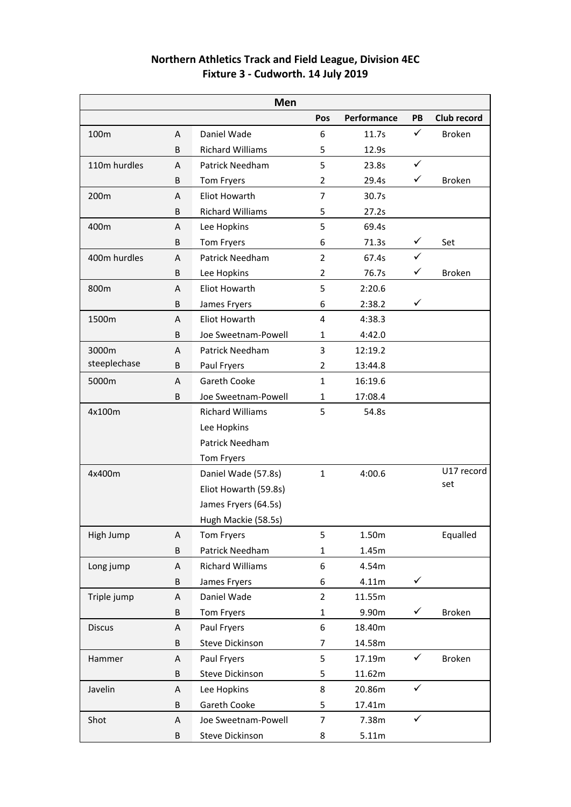| <b>Northern Athletics Track and Field League, Division 4EC</b> |
|----------------------------------------------------------------|
| Fixture 3 - Cudworth. 14 July 2019                             |

| Men           |   |                         |                |             |              |                    |
|---------------|---|-------------------------|----------------|-------------|--------------|--------------------|
|               |   |                         | Pos            | Performance | PB           | <b>Club record</b> |
| 100m          | A | Daniel Wade             | 6              | 11.7s       | $\checkmark$ | <b>Broken</b>      |
|               | B | <b>Richard Williams</b> | 5              | 12.9s       |              |                    |
| 110m hurdles  | A | Patrick Needham         | 5              | 23.8s       | $\checkmark$ |                    |
|               | B | Tom Fryers              | $\overline{2}$ | 29.4s       | ✓            | <b>Broken</b>      |
| 200m          | A | <b>Eliot Howarth</b>    | $\overline{7}$ | 30.7s       |              |                    |
|               | B | <b>Richard Williams</b> | 5              | 27.2s       |              |                    |
| 400m          | A | Lee Hopkins             | 5              | 69.4s       |              |                    |
|               | B | Tom Fryers              | 6              | 71.3s       | $\checkmark$ | Set                |
| 400m hurdles  | A | <b>Patrick Needham</b>  | $\overline{2}$ | 67.4s       | $\checkmark$ |                    |
|               | B | Lee Hopkins             | $\overline{2}$ | 76.7s       | ✓            | <b>Broken</b>      |
| 800m          | A | <b>Eliot Howarth</b>    | 5              | 2:20.6      |              |                    |
|               | B | James Fryers            | 6              | 2:38.2      | ✓            |                    |
| 1500m         | A | <b>Eliot Howarth</b>    | 4              | 4:38.3      |              |                    |
|               | B | Joe Sweetnam-Powell     | $\mathbf{1}$   | 4:42.0      |              |                    |
| 3000m         | A | <b>Patrick Needham</b>  | 3              | 12:19.2     |              |                    |
| steeplechase  | B | Paul Fryers             | $\overline{2}$ | 13:44.8     |              |                    |
| 5000m         | Α | <b>Gareth Cooke</b>     | $\mathbf{1}$   | 16:19.6     |              |                    |
|               | B | Joe Sweetnam-Powell     | $\mathbf{1}$   | 17:08.4     |              |                    |
| 4x100m        |   | <b>Richard Williams</b> | 5              | 54.8s       |              |                    |
|               |   | Lee Hopkins             |                |             |              |                    |
|               |   | Patrick Needham         |                |             |              |                    |
|               |   | Tom Fryers              |                |             |              |                    |
| 4x400m        |   | Daniel Wade (57.8s)     | $\mathbf{1}$   | 4:00.6      |              | U17 record         |
|               |   | Eliot Howarth (59.8s)   |                |             |              | set                |
|               |   | James Fryers (64.5s)    |                |             |              |                    |
|               |   | Hugh Mackie (58.5s)     |                |             |              |                    |
| High Jump     | A | Tom Fryers              | 5              | 1.50m       |              | Equalled           |
|               | B | Patrick Needham         | $\mathbf{1}$   | 1.45m       |              |                    |
| Long jump     | Α | <b>Richard Williams</b> | 6              | 4.54m       |              |                    |
|               | B | James Fryers            | 6              | 4.11m       | $\checkmark$ |                    |
| Triple jump   | Α | Daniel Wade             | $\overline{2}$ | 11.55m      |              |                    |
|               | B | Tom Fryers              | $\mathbf 1$    | 9.90m       | $\checkmark$ | <b>Broken</b>      |
| <b>Discus</b> | A | Paul Fryers             | 6              | 18.40m      |              |                    |
|               | B | <b>Steve Dickinson</b>  | 7              | 14.58m      |              |                    |
| Hammer        | Α | Paul Fryers             | 5              | 17.19m      | $\checkmark$ | <b>Broken</b>      |
|               | B | <b>Steve Dickinson</b>  | 5              | 11.62m      |              |                    |
| Javelin       | Α | Lee Hopkins             | 8              | 20.86m      | $\checkmark$ |                    |
|               | B | Gareth Cooke            | 5              | 17.41m      |              |                    |
| Shot          | Α | Joe Sweetnam-Powell     | $\overline{7}$ | 7.38m       | $\checkmark$ |                    |
|               | B | Steve Dickinson         | 8              | 5.11m       |              |                    |
|               |   |                         |                |             |              |                    |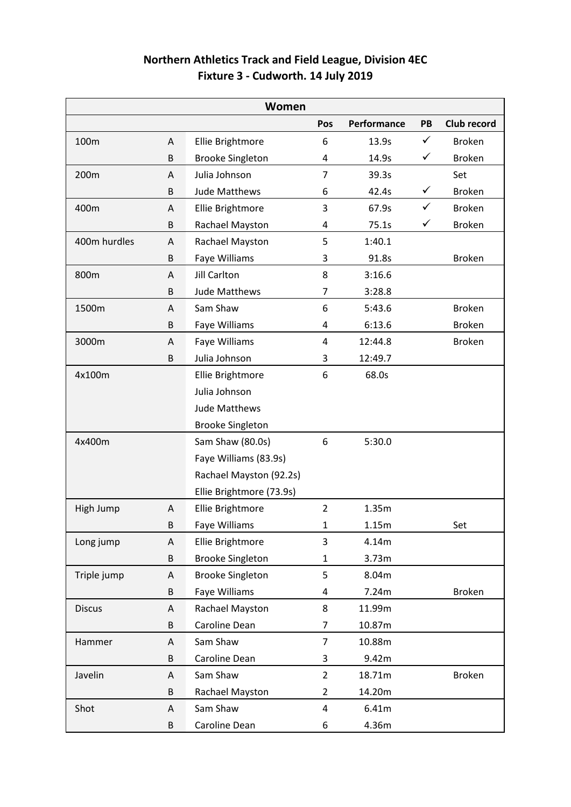| <b>Northern Athletics Track and Field League, Division 4EC</b> |  |
|----------------------------------------------------------------|--|
| Fixture 3 - Cudworth. 14 July 2019                             |  |

| Women         |   |                          |                |             |              |               |
|---------------|---|--------------------------|----------------|-------------|--------------|---------------|
|               |   |                          | Pos            | Performance | PB           | Club record   |
| 100m          | A | Ellie Brightmore         | 6              | 13.9s       | $\checkmark$ | <b>Broken</b> |
|               | B | <b>Brooke Singleton</b>  | 4              | 14.9s       | $\checkmark$ | <b>Broken</b> |
| 200m          | A | Julia Johnson            | $\overline{7}$ | 39.3s       |              | Set           |
|               | B | Jude Matthews            | 6              | 42.4s       | $\checkmark$ | <b>Broken</b> |
| 400m          | Α | Ellie Brightmore         | 3              | 67.9s       | $\checkmark$ | <b>Broken</b> |
|               | B | Rachael Mayston          | 4              | 75.1s       | $\checkmark$ | <b>Broken</b> |
| 400m hurdles  | A | Rachael Mayston          | 5              | 1:40.1      |              |               |
|               | B | Faye Williams            | 3              | 91.8s       |              | <b>Broken</b> |
| 800m          | A | <b>Jill Carlton</b>      | 8              | 3:16.6      |              |               |
|               | B | Jude Matthews            | 7              | 3:28.8      |              |               |
| 1500m         | A | Sam Shaw                 | 6              | 5:43.6      |              | <b>Broken</b> |
|               | B | Faye Williams            | 4              | 6:13.6      |              | <b>Broken</b> |
| 3000m         | A | Faye Williams            | 4              | 12:44.8     |              | <b>Broken</b> |
|               | B | Julia Johnson            | 3              | 12:49.7     |              |               |
| 4x100m        |   | Ellie Brightmore         | 6              | 68.0s       |              |               |
|               |   | Julia Johnson            |                |             |              |               |
|               |   | Jude Matthews            |                |             |              |               |
|               |   | <b>Brooke Singleton</b>  |                |             |              |               |
| 4x400m        |   | Sam Shaw (80.0s)         | 6              | 5:30.0      |              |               |
|               |   | Faye Williams (83.9s)    |                |             |              |               |
|               |   | Rachael Mayston (92.2s)  |                |             |              |               |
|               |   | Ellie Brightmore (73.9s) |                |             |              |               |
| High Jump     | A | Ellie Brightmore         | $\overline{2}$ | 1.35m       |              |               |
|               | В | Faye Williams            | 1              | 1.15m       |              | Set           |
| Long jump     | Α | Ellie Brightmore         | 3              | 4.14m       |              |               |
|               | B | <b>Brooke Singleton</b>  | $\mathbf{1}$   | 3.73m       |              |               |
| Triple jump   | A | <b>Brooke Singleton</b>  | 5              | 8.04m       |              |               |
|               | B | Faye Williams            | 4              | 7.24m       |              | <b>Broken</b> |
| <b>Discus</b> | Α | Rachael Mayston          | 8              | 11.99m      |              |               |
|               | B | Caroline Dean            | 7              | 10.87m      |              |               |
| Hammer        | Α | Sam Shaw                 | $\overline{7}$ | 10.88m      |              |               |
|               | B | Caroline Dean            | 3              | 9.42m       |              |               |
| Javelin       | Α | Sam Shaw                 | $\overline{2}$ | 18.71m      |              | <b>Broken</b> |
|               | B | Rachael Mayston          | $\overline{2}$ | 14.20m      |              |               |
| Shot          | Α | Sam Shaw                 | 4              | 6.41m       |              |               |
|               | В | Caroline Dean            | 6              | 4.36m       |              |               |